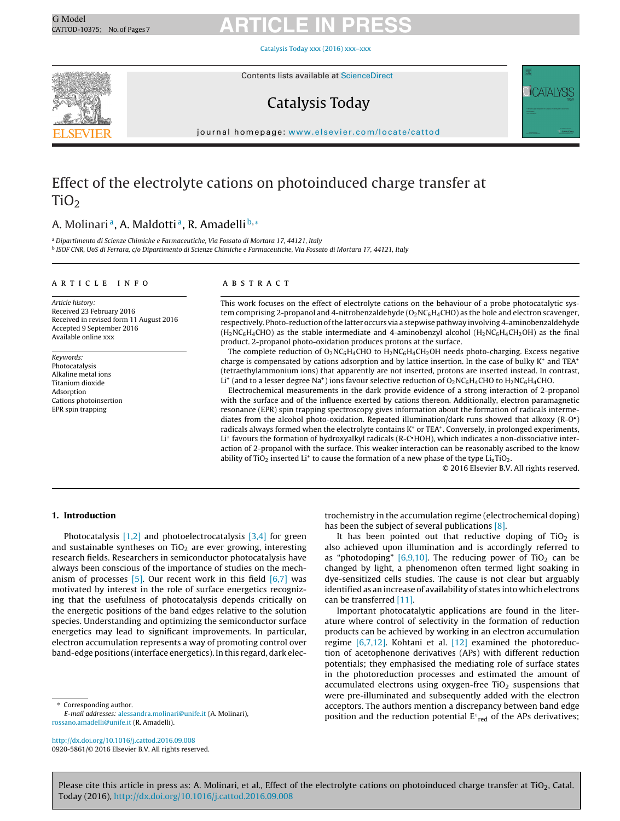[Catalysis](dx.doi.org/10.1016/j.cattod.2016.09.008) Today xxx (2016) xxx–xxx



Contents lists available at [ScienceDirect](http://www.sciencedirect.com/science/journal/09205861)

### Catalysis Today



journal homepage: [www.elsevier.com/locate/cattod](http://www.elsevier.com/locate/cattod)

### Effect of the electrolyte cations on photoinduced charge transfer at  $TiO<sub>2</sub>$

### A. Molinari<sup>a</sup>, A. Maldotti<sup>a</sup>, R. Amadelli<sup>b,\*</sup>

<sup>a</sup> Dipartimento di Scienze Chimiche e Farmaceutiche, Via Fossato di Mortara 17, 44121, Italy

<sup>b</sup> ISOF CNR, UoS di Ferrara, c/o Dipartimento di Scienze Chimiche e Farmaceutiche, Via Fossato di Mortara 17, 44121, Italy

### ARTICLE INFO

Article history: Received 23 February 2016 Received in revised form 11 August 2016 Accepted 9 September 2016 Available online xxx

Keywords: Photocatalysis Alkaline metal ions Titanium dioxide Adsorption Cations photoinsertion EPR spin trapping

### A B S T R A C T

This work focuses on the effect of electrolyte cations on the behaviour of a probe photocatalytic system comprising 2-propanol and 4-nitrobenzaldehyde  $(O_2NC_6H_4CHO)$  as the hole and electron scavenger, respectively. Photo-reductionofthe latter occurs via a stepwise pathway involving 4-aminobenzaldehyde  $(H_2NC_6H_4CHO)$  as the stable intermediate and 4-aminobenzyl alcohol  $(H_2NC_6H_4CH_2OH)$  as the final product. 2-propanol photo-oxidation produces protons at the surface.

The complete reduction of  $O_2NC_6H_4CHO$  to  $H_2NC_6H_4CH_2OH$  needs photo-charging. Excess negative charge is compensated by cations adsorption and by lattice insertion. In the case of bulky K+ and TEA<sup>+</sup> (tetraethylammonium ions) that apparently are not inserted, protons are inserted instead. In contrast, Li<sup>+</sup> (and to a lesser degree Na<sup>+</sup>) ions favour selective reduction of  $O_2NC_6H_4CHO$  to  $H_2NC_6H_4CHO$ .

Electrochemical measurements in the dark provide evidence of a strong interaction of 2-propanol with the surface and of the influence exerted by cations thereon. Additionally, electron paramagnetic resonance (EPR) spin trapping spectroscopy gives information about the formation of radicals intermediates from the alcohol photo-oxidation. Repeated illumination/dark runs showed that alkoxy (R-O•) radicals always formed when the electrolyte contains K<sup>+</sup> or TEA<sup>+</sup>. Conversely, in prolonged experiments, Li<sup>+</sup> favours the formation of hydroxyalkyl radicals (R-C•HOH), which indicates a non-dissociative interaction of 2-propanol with the surface. This weaker interaction can be reasonably ascribed to the know ability of TiO<sub>2</sub> inserted Li<sup>+</sup> to cause the formation of a new phase of the type  $Li<sub>x</sub>TiO<sub>2</sub>$ .

© 2016 Elsevier B.V. All rights reserved.

### **1. Introduction**

Photocatalysis  $[1,2]$  and photoelectrocatalysis  $[3,4]$  for green and sustainable syntheses on  $TiO<sub>2</sub>$  are ever growing, interesting research fields. Researchers in semiconductor photocatalysis have always been conscious of the importance of studies on the mechanism of processes  $[5]$ . Our recent work in this field  $[6,7]$  was motivated by interest in the role of surface energetics recognizing that the usefulness of photocatalysis depends critically on the energetic positions of the band edges relative to the solution species. Understanding and optimizing the semiconductor surface energetics may lead to significant improvements. In particular, electron accumulation represents a way of promoting control over band-edge positions (interface energetics). In this regard, dark elec-

Corresponding author.

E-mail addresses: [alessandra.molinari@unife.it](mailto:alessandra.molinari@unife.it) (A. Molinari), [rossano.amadelli@unife.it](mailto:rossano.amadelli@unife.it) (R. Amadelli).

[http://dx.doi.org/10.1016/j.cattod.2016.09.008](dx.doi.org/10.1016/j.cattod.2016.09.008) 0920-5861/© 2016 Elsevier B.V. All rights reserved. trochemistry in the accumulation regime (electrochemical doping) has been the subject of several publications [\[8\].](#page-6-0)

It has been pointed out that reductive doping of  $TiO<sub>2</sub>$  is also achieved upon illumination and is accordingly referred to as "photodoping"  $[6,9,10]$ . The reducing power of TiO<sub>2</sub> can be changed by light, a phenomenon often termed light soaking in dye-sensitized cells studies. The cause is not clear but arguably identified as an increase of availability of states into which electrons can be transferred [\[11\].](#page-6-0)

Important photocatalytic applications are found in the literature where control of selectivity in the formation of reduction products can be achieved by working in an electron accumulation regime [\[6,7,12\].](#page-6-0) Kohtani et al. [\[12\]](#page-6-0) examined the photoreduction of acetophenone derivatives (APs) with different reduction potentials; they emphasised the mediating role of surface states in the photoreduction processes and estimated the amount of accumulated electrons using oxygen-free  $TiO<sub>2</sub>$  suspensions that were pre-illuminated and subsequently added with the electron acceptors. The authors mention a discrepancy between band edge position and the reduction potential  $E<sup>°</sup>$  red of the APs derivatives;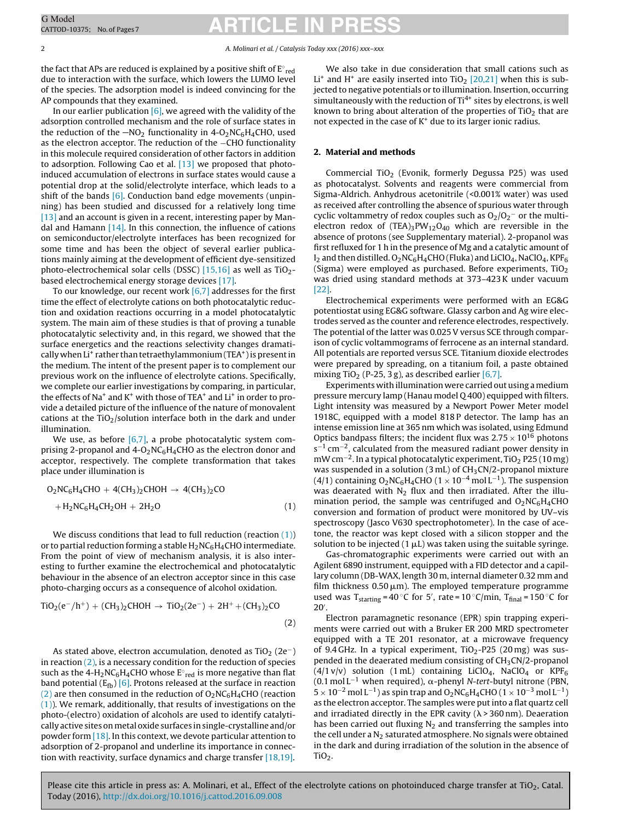## <span id="page-1-0"></span>CATTOD-10375; No. of Pages7<br>
CATTOD-10375; No. of Pages7

2 A. Molinari et al. / Catalysis Today xxx (2016) xxx–xxx

the fact that APs are reduced is explained by a positive shift of  $\text{E}^{\circ}_{\;\text{red}}$ due to interaction with the surface, which lowers the LUMO level of the species. The adsorption model is indeed convincing for the AP compounds that they examined.

In our earlier publication  $[6]$ , we agreed with the validity of the adsorption controlled mechanism and the role of surface states in the reduction of the  $-NO<sub>2</sub>$  functionality in 4-O<sub>2</sub>NC<sub>6</sub>H<sub>4</sub>CHO, used as the electron acceptor. The reduction of the −CHO functionality in this molecule required consideration of other factors in addition to adsorption. Following Cao et al. [\[13\]](#page-6-0) we proposed that photoinduced accumulation of electrons in surface states would cause a potential drop at the solid/electrolyte interface, which leads to a shift of the bands  $[6]$ . Conduction band edge movements (unpinning) has been studied and discussed for a relatively long time [\[13\]](#page-6-0) and an account is given in a recent, interesting paper by Mandal and Hamann  $[14]$ . In this connection, the influence of cations on semiconductor/electrolyte interfaces has been recognized for some time and has been the object of several earlier publications mainly aiming at the development of efficient dye-sensitized photo-electrochemical solar cells (DSSC) [\[15,16\]](#page-6-0) as well as  $TiO<sub>2</sub>$ based electrochemical energy storage devices [\[17\].](#page-6-0)

To our knowledge, our recent work  $[6,7]$  addresses for the first time the effect of electrolyte cations on both photocatalytic reduction and oxidation reactions occurring in a model photocatalytic system. The main aim of these studies is that of proving a tunable photocatalytic selectivity and, in this regard, we showed that the surface energetics and the reactions selectivity changes dramatically when Li<sup>+</sup> rather than tetraethylammonium (TEA<sup>+</sup>) is present in the medium. The intent of the present paper is to complement our previous work on the influence of electrolyte cations. Specifically, we complete our earlier investigations by comparing, in particular, the effects of Na<sup>+</sup> and K<sup>+</sup> with those of TEA<sup>+</sup> and Li<sup>+</sup> in order to provide a detailed picture of the influence of the nature of monovalent cations at the  $TiO<sub>2</sub>/solution$  interface both in the dark and under illumination.

We use, as before  $[6,7]$ , a probe photocatalytic system comprising 2-propanol and  $4$ -O<sub>2</sub>NC<sub>6</sub>H<sub>4</sub>CHO as the electron donor and acceptor, respectively. The complete transformation that takes place under illumination is

$$
O2NC6H4CHO + 4(CH3)2CHOH \rightarrow 4(CH3)2CO
$$
  
+H<sub>2</sub>NC<sub>6</sub>H<sub>4</sub>CH<sub>2</sub>OH + 2H<sub>2</sub>O (1)

We discuss conditions that lead to full reduction (reaction  $(1)$ ) or to partial reduction forming a stable  $H_2NC_6H_4CHO$  intermediate. From the point of view of mechanism analysis, it is also interesting to further examine the electrochemical and photocatalytic behaviour in the absence of an electron acceptor since in this case photo-charging occurs as a consequence of alcohol oxidation.

$$
TiO2(e^-/h^+) + (CH3)2CHOH \rightarrow TiO2(2e^-) + 2H^+ + (CH3)2CO
$$
\n(2)

As stated above, electron accumulation, denoted as  $TiO<sub>2</sub> (2e<sup>-</sup>)$ in reaction  $(2)$ , is a necessary condition for the reduction of species such as the 4-H $_2$ NC $_6$ H $_4$ CHO whose  $\mathrm{E^{\circ}}_{\mathrm{red}}$  is more negative than flat band potential  $(E_{fb})$  [\[6\].](#page-6-0) Protons released at the surface in reaction (2) are then consumed in the reduction of  $O_2NC_6H_4CHO$  (reaction (1)). We remark, additionally, that results of investigations on the photo-(electro) oxidation of alcohols are used to identify catalytically active sites on metal oxide surfaces in single-crystalline and/or powder form [\[18\].](#page-6-0) In this context, we devote particular attention to adsorption of 2-propanol and underline its importance in connection with reactivity, surface dynamics and charge transfer [\[18,19\].](#page-6-0)

We also take in due consideration that small cations such as Li<sup>+</sup> and H<sup>+</sup> are easily inserted into TiO<sub>2</sub> [\[20,21\]](#page-6-0) when this is subjected to negative potentials or to illumination. Insertion, occurring simultaneously with the reduction of  $Ti^{4+}$  sites by electrons, is well known to bring about alteration of the properties of  $TiO<sub>2</sub>$  that are not expected in the case of  $K<sup>+</sup>$  due to its larger ionic radius.

### **2. Material and methods**

Commercial TiO<sub>2</sub> (Evonik, formerly Degussa P25) was used as photocatalyst. Solvents and reagents were commercial from Sigma-Aldrich. Anhydrous acetonitrile (<0.001% water) was used as received after controlling the absence of spurious water through cyclic voltammetry of redox couples such as  $O_2/O_2^-$  or the multielectron redox of  $(TEA)_{3}PW_{12}O_{40}$  which are reversible in the absence of protons (see Supplementary material). 2-propanol was first refluxed for 1 h in the presence of Mg and a catalytic amount of  $I_2$  and then distilled.  $O_2$ NC $_6$ H<sub>4</sub>CHO (Fluka) and LiClO<sub>4</sub>, NaClO<sub>4</sub>, KPF $_6$ (Sigma) were employed as purchased. Before experiments,  $TiO<sub>2</sub>$ was dried using standard methods at 373–423K under vacuum [\[22\].](#page-6-0)

Electrochemical experiments were performed with an EG&G potentiostat using EG&G software. Glassy carbon and Ag wire electrodes served as the counter and reference electrodes, respectively. The potential of the latter was 0.025 V versus SCE through comparison of cyclic voltammograms of ferrocene as an internal standard. All potentials are reported versus SCE. Titanium dioxide electrodes were prepared by spreading, on a titanium foil, a paste obtained mixing TiO<sub>2</sub> (P-25, 3 g), as described earlier [\[6,7\].](#page-6-0)

Experiments with illumination were carried out using a medium pressure mercury lamp (Hanau model Q 400) equipped with filters. Light intensity was measured by a Newport Power Meter model 1918C, equipped with a model 818P detector. The lamp has an intense emission line at 365 nm which was isolated, using Edmund Optics bandpass filters; the incident flux was  $2.75 \times 10^{16}$  photons  $s^{-1}$  cm<sup>-2</sup>, calculated from the measured radiant power density in mW cm<sup>-2</sup>. In a typical photocatalytic experiment, TiO<sub>2</sub> P25 (10 mg) was suspended in a solution (3 mL) of  $CH<sub>3</sub>CN/2$ -propanol mixture (4/1) containing  $O_2NC_6H_4CHO$  (1 × 10<sup>-4</sup> mol L<sup>-1</sup>). The suspension was deaerated with  $N_2$  flux and then irradiated. After the illumination period, the sample was centrifuged and  $O_2NC_6H_4CHO$ conversion and formation of product were monitored by UV–vis spectroscopy (Jasco V630 spectrophotometer). In the case of acetone, the reactor was kept closed with a silicon stopper and the solution to be injected (1  $\mu$ L) was taken using the suitable syringe.

Gas-chromatographic experiments were carried out with an Agilent 6890 instrument, equipped with a FID detector and a capillary column (DB-WAX, length 30 m, internal diameter 0.32 mm and film thickness  $0.50 \,\rm \mu m$ ). The employed temperature programme used was  $T_{starting} = 40 °C$  for 5', rate =  $10 °C/min$ ,  $T_{final} = 150 °C$  for 20 .

Electron paramagnetic resonance (EPR) spin trapping experiments were carried out with a Bruker ER 200 MRD spectrometer equipped with a TE 201 resonator, at a microwave frequency of 9.4 GHz. In a typical experiment,  $TiO<sub>2</sub>$ -P25 (20 mg) was suspended in the deaerated medium consisting of  $CH<sub>3</sub>CN/2$ -propanol  $(4/1 v/v)$  solution  $(1 mL)$  containing LiClO<sub>4</sub>, NaClO<sub>4</sub> or KPF<sub>6</sub> (0.1 mol L<sup>-1</sup> when required),  $\alpha$ -phenyl N-tert-butyl nitrone (PBN,  $5 \times 10^{-2}$  mol L<sup>-1</sup>) as spin trap and O<sub>2</sub>NC<sub>6</sub>H<sub>4</sub>CHO (1 × 10<sup>-3</sup> mol L<sup>-1</sup>) as the electron acceptor. The samples were put into a flat quartz cell and irradiated directly in the EPR cavity ( $\lambda$  > 360 nm). Deaeration has been carried out fluxing  $N_2$  and transferring the samples into the cell under a  $N_2$  saturated atmosphere. No signals were obtained in the dark and during irradiation of the solution in the absence of  $TiO<sub>2</sub>$ .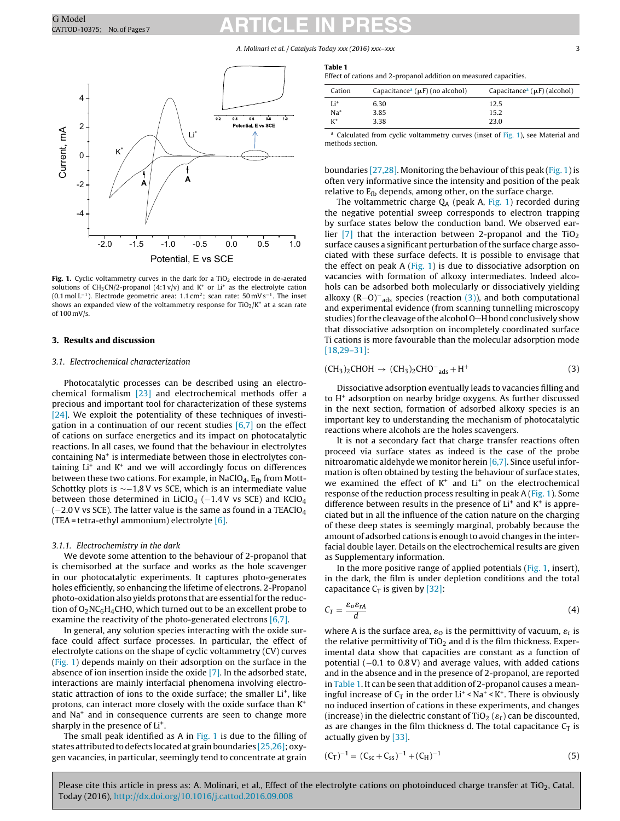A. Molinari et al. / Catalysis Today xxx (2016) xxx–xxx 33

<span id="page-2-0"></span>

Fig. 1. Cyclic voltammetry curves in the dark for a TiO<sub>2</sub> electrode in de-aerated solutions of CH<sub>3</sub>CN/2-propanol (4:1 v/v) and K<sup>+</sup> or Li<sup>+</sup> as the electrolyte cation (0.1 mol L−1). Electrode geometric area: 1.1 cm2; scan rate: 50 mVs−1. The inset shows an expanded view of the voltammetry response for  $TiO<sub>2</sub>/K<sup>+</sup>$  at a scan rate of 100 mV/s.

### **3. Results and discussion**

#### 3.1. Electrochemical characterization

Photocatalytic processes can be described using an electrochemical formalism [\[23\]](#page-6-0) and electrochemical methods offer a precious and important tool for characterization of these systems [\[24\].](#page-6-0) We exploit the potentiality of these techniques of investigation in a continuation of our recent studies [\[6,7\]](#page-6-0) on the effect of cations on surface energetics and its impact on photocatalytic reactions. In all cases, we found that the behaviour in electrolytes containing Na+ is intermediate between those in electrolytes containing  $Li<sup>+</sup>$  and  $K<sup>+</sup>$  and we will accordingly focus on differences between these two cations. For example, in NaClO<sub>4</sub>,  $E_{\text{fb}}$  from Mott-Schottky plots is ∼−1,8V vs SCE, which is an intermediate value between those determined in LiClO<sub>4</sub> ( $-1.4$ V vs SCE) and KClO<sub>4</sub>  $(-2.0V \text{ vs } SCE)$ . The latter value is the same as found in a TEAClO<sub>4</sub> (TEA = tetra-ethyl ammonium) electrolyte  $[6]$ .

### 3.1.1. Electrochemistry in the dark

We devote some attention to the behaviour of 2-propanol that is chemisorbed at the surface and works as the hole scavenger in our photocatalytic experiments. It captures photo-generates holes efficiently, so enhancing the lifetime of electrons. 2-Propanol photo-oxidation also yields protons that are essential for the reduction of  $O_2NC_6H_4CHO$ , which turned out to be an excellent probe to examine the reactivity of the photo-generated electrons [\[6,7\].](#page-6-0)

In general, any solution species interacting with the oxide surface could affect surface processes. In particular, the effect of electrolyte cations on the shape of cyclic voltammetry (CV) curves (Fig. 1) depends mainly on their adsorption on the surface in the absence of ion insertion inside the oxide [\[7\].](#page-6-0) In the adsorbed state, interactions are mainly interfacial phenomena involving electrostatic attraction of ions to the oxide surface; the smaller Li<sup>+</sup>, like protons, can interact more closely with the oxide surface than K+ and Na<sup>+</sup> and in consequence currents are seen to change more sharply in the presence of Li<sup>+</sup>.

The small peak identified as A in Fig. 1 is due to the filling of states attributed to defects located at grain boundaries  $[25,26]$ ; oxygen vacancies, in particular, seemingly tend to concentrate at grain

| an<br>ı<br>×. | ı<br>$\sim$ |  |
|---------------|-------------|--|
|               |             |  |

| Cation          | Capacitance <sup>a</sup> ( $\mu$ F) (no alcohol) | Capacitance <sup>a</sup> ( $\mu$ F) (alcohol) |
|-----------------|--------------------------------------------------|-----------------------------------------------|
| Li <sup>+</sup> | 6.30                                             | 12.5                                          |
| Na <sup>+</sup> | 3.85                                             | 15.2                                          |
| $K^+$           | 3.38                                             | 23.0                                          |

a Calculated from cyclic voltammetry curves (inset of Fig. 1), see Material and methods section.

boundaries [\[27,28\].](#page-6-0) Monitoring the behaviour of this peak (Fig. 1) is often very informative since the intensity and position of the peak relative to  $E_{\text{fb}}$  depends, among other, on the surface charge.

The voltammetric charge  $Q_A$  (peak A, Fig. 1) recorded during the negative potential sweep corresponds to electron trapping by surface states below the conduction band. We observed earlier  $[7]$  that the interaction between 2-propanol and the TiO<sub>2</sub> surface causes a significant perturbation of the surface charge associated with these surface defects. It is possible to envisage that the effect on peak  $A$  (Fig. 1) is due to dissociative adsorption on vacancies with formation of alkoxy intermediates. Indeed alcohols can be adsorbed both molecularly or dissociatively yielding alkoxy (R-O)<sup>-</sup><sub>ads</sub> species (reaction (3)), and both computational and experimental evidence (from scanning tunnelling microscopy studies) for the cleavage of the alcohol O-H bond conclusively show that dissociative adsorption on incompletely coordinated surface Ti cations is more favourable than the molecular adsorption mode [\[18,29–31\]:](#page-6-0)

$$
(CH3)2CHOH \rightarrow (CH3)2CHO-ads + H+
$$
 (3)

Dissociative adsorption eventually leads to vacancies filling and to  $H^+$  adsorption on nearby bridge oxygens. As further discussed in the next section, formation of adsorbed alkoxy species is an important key to understanding the mechanism of photocatalytic reactions where alcohols are the holes scavengers.

It is not a secondary fact that charge transfer reactions often proceed via surface states as indeed is the case of the probe nitroaromatic aldehyde we monitor herein [\[6,7\].](#page-6-0) Since useful information is often obtained by testing the behaviour of surface states, we examined the effect of  $K^+$  and  $Li^+$  on the electrochemical response of the reduction process resulting in peak A (Fig. 1). Some difference between results in the presence of  $Li<sup>+</sup>$  and  $K<sup>+</sup>$  is appreciated but in all the influence of the cation nature on the charging of these deep states is seemingly marginal, probably because the amount of adsorbed cations is enough to avoid changes in the interfacial double layer. Details on the electrochemical results are given as Supplementary information.

In the more positive range of applied potentials (Fig. 1, insert), in the dark, the film is under depletion conditions and the total capacitance  $C_T$  is given by [\[32\]:](#page-6-0)

$$
C_T = \frac{\varepsilon_0 \varepsilon_{rA}}{d} \tag{4}
$$

where A is the surface area,  $\varepsilon_0$  is the permittivity of vacuum,  $\varepsilon_r$  is the relative permittivity of  $TiO<sub>2</sub>$  and d is the film thickness. Experimental data show that capacities are constant as a function of potential (−0.1 to 0.8V) and average values, with added cations and in the absence and in the presence of 2-propanol, are reported in Table 1. It can be seen that addition of 2-propanol causes a meaningful increase of  $C_T$  in the order Li<sup>+</sup> < Na<sup>+</sup> < K<sup>+</sup>. There is obviously no induced insertion of cations in these experiments, and changes (increase) in the dielectric constant of TiO<sub>2</sub> ( $\varepsilon$ <sub>r</sub>) can be discounted, as are changes in the film thickness d. The total capacitance  $C_T$  is actually given by [\[33\].](#page-6-0)

$$
(C_T)^{-1} = (C_{sc} + C_{ss})^{-1} + (C_H)^{-1}
$$
\n(5)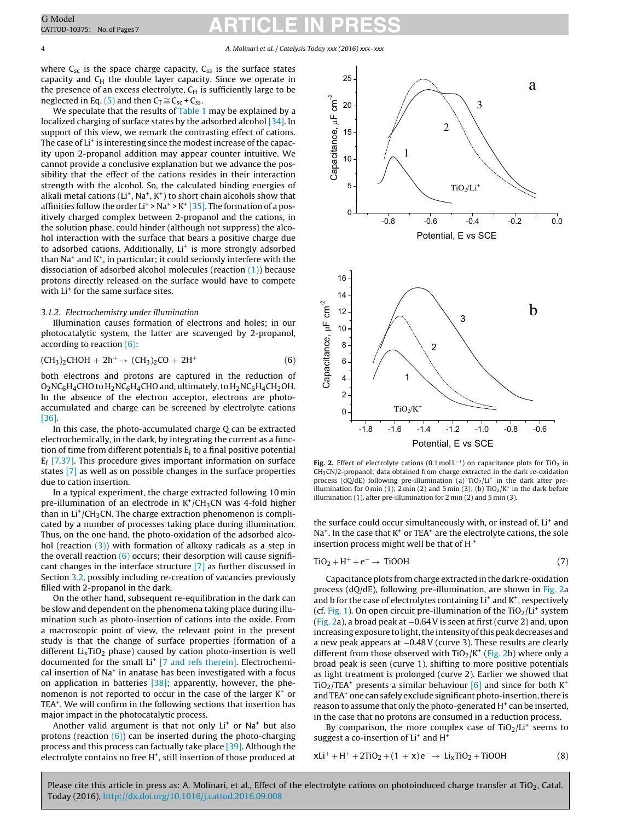## <span id="page-3-0"></span>CATTOD-10375; No. of Pages7<br>
CATTOD-10375; No. of Pages7

where  $C_{sc}$  is the space charge capacity,  $C_{ss}$  is the surface states capacity and  $C_H$  the double layer capacity. Since we operate in the presence of an excess electrolyte,  $C_H$  is sufficiently large to be neglected in Eq. [\(5\)](#page-2-0) and then  $C_T \cong C_{sc} + C_{ss}$ .

We speculate that the results of [Table](#page-2-0) 1 may be explained by a localized charging of surface states by the adsorbed alcohol [\[34\].](#page-6-0) In support of this view, we remark the contrasting effect of cations. The case of Li<sup>+</sup> is interesting since the modest increase of the capacity upon 2-propanol addition may appear counter intuitive. We cannot provide a conclusive explanation but we advance the possibility that the effect of the cations resides in their interaction strength with the alcohol. So, the calculated binding energies of alkali metal cations ( $Li^+$ , Na<sup>+</sup>, K<sup>+</sup>) to short chain alcohols show that affinities follow the order  $Li^+$  > Na<sup>+</sup> > K<sup>+</sup> [\[35\].](#page-6-0) The formation of a positively charged complex between 2-propanol and the cations, in the solution phase, could hinder (although not suppress) the alcohol interaction with the surface that bears a positive charge due to adsorbed cations. Additionally,  $Li<sup>+</sup>$  is more strongly adsorbed than  $Na<sup>+</sup>$  and  $K<sup>+</sup>$ , in particular; it could seriously interfere with the dissociation of adsorbed alcohol molecules (reaction  $(1)$ ) because protons directly released on the surface would have to compete with Li<sup>+</sup> for the same surface sites.

#### 3.1.2. Electrochemistry under illumination

Illumination causes formation of electrons and holes; in our photocatalytic system, the latter are scavenged by 2-propanol, according to reaction (6):

$$
(CH3)2CHOH + 2h+ \to (CH3)2CO + 2H+
$$
 (6)

both electrons and protons are captured in the reduction of  $O_2NC_6H_4CHO$  to  $H_2NC_6H_4CHO$  and, ultimately, to  $H_2NC_6H_4CH_2OH$ . In the absence of the electron acceptor, electrons are photoaccumulated and charge can be screened by electrolyte cations [\[36\].](#page-6-0)

In this case, the photo-accumulated charge Q can be extracted electrochemically, in the dark, by integrating the current as a function of time from different potentials  $E_i$  to a final positive potential  $E_f$  [\[7,37\].](#page-6-0) This procedure gives important information on surface states [\[7\]](#page-6-0) as well as on possible changes in the surface properties due to cation insertion.

In a typical experiment, the charge extracted following 10 min pre-illumination of an electrode in  $K^+/CH_3CN$  was 4-fold higher than in  $Li^{+}/CH_{3}CN$ . The charge extraction phenomenon is complicated by a number of processes taking place during illumination. Thus, on the one hand, the photo-oxidation of the adsorbed alcohol (reaction  $(3)$ ) with formation of alkoxy radicals as a step in the overall reaction  $(6)$  occurs; their desorption will cause significant changes in the interface structure [\[7\]](#page-6-0) as further discussed in Section [3.2,](#page-4-0) possibly including re-creation of vacancies previously filled with 2-propanol in the dark.

On the other hand, subsequent re-equilibration in the dark can be slow and dependent on the phenomena taking place during illumination such as photo-insertion of cations into the oxide. From a macroscopic point of view, the relevant point in the present study is that the change of surface properties (formation of a different  $Li<sub>x</sub>TiO<sub>2</sub>$  phase) caused by cation photo-insertion is well documented for the small Li<sup>+</sup> [\[7](#page-6-0) [and](#page-6-0) [refs](#page-6-0) [therein\].](#page-6-0) Electrochemical insertion of  $Na<sup>+</sup>$  in anatase has been investigated with a focus on application in batteries [\[38\];](#page-6-0) apparently, however, the phenomenon is not reported to occur in the case of the larger  $K^+$  or TEA<sup>+</sup>. We will confirm in the following sections that insertion has major impact in the photocatalytic process.

Another valid argument is that not only  $Li<sup>+</sup>$  or Na<sup>+</sup> but also protons (reaction  $(6)$ ) can be inserted during the photo-charging process and this process can factually take place [\[39\].](#page-6-0) Although the electrolyte contains no free  $H^*$ , still insertion of those produced at



**Fig.** 2. Effect of electrolyte cations (0.1 mol L<sup>-1</sup>) on capacitance plots for TiO<sub>2</sub> in  $CH<sub>3</sub>CN/2$ -propanol; data obtained from charge extracted in the dark re-oxidation process (dQ/dE) following pre-illumination (a)  $TiO<sub>2</sub>/Li<sup>+</sup>$  in the dark after preillumination for 0 min (1); 2 min (2) and 5 min (3); (b)  $TiO<sub>2</sub>/K<sup>+</sup>$  in the dark before illumination (1), after pre-illumination for 2 min (2) and 5 min (3).

the surface could occur simultaneously with, or instead of, Li<sup>+</sup> and  $Na<sup>+</sup>$ . In the case that  $K<sup>+</sup>$  or TEA<sup>+</sup> are the electrolyte cations, the sole insertion process might well be that of H $+$ 

$$
TiO2 + H+ + e- \rightarrow TiOOH
$$
 (7)

Capacitance plots fromcharge extracted in the dark re-oxidation process (dQ/dE), following pre-illumination, are shown in Fig. 2a and b for the case of electrolytes containing  $Li<sup>+</sup>$  and  $K<sup>+</sup>$ , respectively (cf. [Fig.](#page-2-0) 1). On open circuit pre-illumination of the  $TiO<sub>2</sub>/Li<sup>+</sup>$  system (Fig. 2a), a broad peak at −0.64V is seen at first (curve 2) and, upon increasing exposure to light, the intensity of this peak decreases and a new peak appears at −0.48V (curve 3). These results are clearly different from those observed with  $TiO<sub>2</sub>/K<sup>+</sup>$  (Fig. 2b) where only a broad peak is seen (curve 1), shifting to more positive potentials as light treatment is prolonged (curve 2). Earlier we showed that  $TiO<sub>2</sub>/TEA<sup>+</sup>$  presents a similar behaviour [\[6\]](#page-6-0) and since for both K<sup>+</sup> and TEA<sup>+</sup> one can safely exclude significant photo-insertion, there is reason to assume that only the photo-generated H<sup>+</sup> can be inserted, in the case that no protons are consumed in a reduction process.

By comparison, the more complex case of  $TiO<sub>2</sub>/Li<sup>+</sup>$  seems to suggest a co-insertion of Li<sup>+</sup> and H<sup>+</sup>

$$
xLi^{+} + H^{+} + 2TiO2 + (1 + x)e^{-} \rightarrow LixTiO2 + TiOOH
$$
 (8)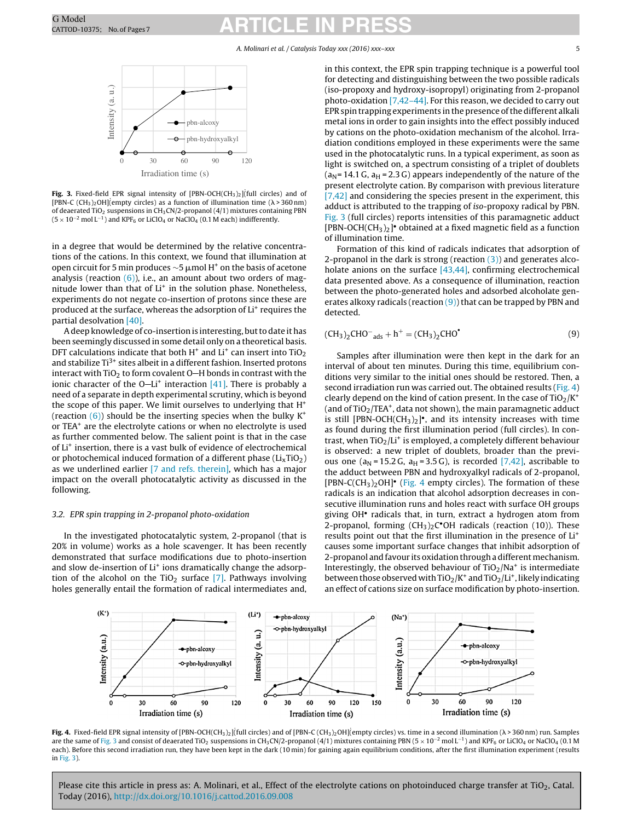### A. Molinari et al. / Catalysis Today xxx (2016) xxx–xxx 5

<span id="page-4-0"></span>

**Fig. 3.** Fixed-field EPR signal intensity of  $[PBN-OCH(CH<sub>3</sub>)<sub>2</sub>]$  (full circles) and of [PBN-C (CH<sub>3</sub>)<sub>2</sub>OH](empty circles) as a function of illumination time ( $\lambda$  > 360 nm) of deaerated TiO<sub>2</sub> suspensions in CH<sub>3</sub>CN/2-propanol (4/1) mixtures containing PBN  $(5 \times 10^{-2} \text{ mol L}^{-1})$  and KPF<sub>6</sub> or LiClO<sub>4</sub> or NaClO<sub>4</sub> (0.1 M each) indifferently.

in a degree that would be determined by the relative concentrations of the cations. In this context, we found that illumination at open circuit for 5 min produces  $\sim$ 5 μmol H $^+$  on the basis of acetone analysis (reaction  $(6)$ ), i.e., an amount about two orders of magnitude lower than that of Li<sup>+</sup> in the solution phase. Nonetheless, experiments do not negate co-insertion of protons since these are produced at the surface, whereas the adsorption of Li<sup>+</sup> requires the partial desolvation [\[40\].](#page-6-0)

A deep knowledge of co-insertion is interesting, but to date it has been seemingly discussed in some detail only on a theoretical basis. DFT calculations indicate that both  $H^+$  and  $Li^+$  can insert into TiO<sub>2</sub> and stabilize  $Ti^{3+}$  sites albeit in a different fashion. Inserted protons interact with TiO<sub>2</sub> to form covalent O-H bonds in contrast with the ionic character of the  $O-Li^+$  interaction [\[41\].](#page-6-0) There is probably a need of a separate in depth experimental scrutiny, which is beyond the scope of this paper. We limit ourselves to underlying that H+ (reaction  $(6)$ ) should be the inserting species when the bulky K<sup>+</sup> or TEA+ are the electrolyte cations or when no electrolyte is used as further commented below. The salient point is that in the case of Li<sup>+</sup> insertion, there is a vast bulk of evidence of electrochemical or photochemical induced formation of a different phase  $(Li<sub>x</sub>TiO<sub>2</sub>)$ as we underlined earlier [\[7](#page-6-0) [and](#page-6-0) [refs.](#page-6-0) [therein\],](#page-6-0) which has a major impact on the overall photocatalytic activity as discussed in the following.

### 3.2. EPR spin trapping in 2-propanol photo-oxidation

In the investigated photocatalytic system, 2-propanol (that is 20% in volume) works as a hole scavenger. It has been recently demonstrated that surface modifications due to photo-insertion and slow de-insertion of Li<sup>+</sup> ions dramatically change the adsorption of the alcohol on the TiO<sub>2</sub> surface  $[7]$ . Pathways involving holes generally entail the formation of radical intermediates and,

in this context, the EPR spin trapping technique is a powerful tool for detecting and distinguishing between the two possible radicals (iso-propoxy and hydroxy-isopropyl) originating from 2-propanol photo-oxidation [\[7,42–44\].](#page-6-0) For this reason, we decided to carry out EPRspintrapping experiments inthepresence ofthe different alkali metal ions in order to gain insights into the effect possibly induced by cations on the photo-oxidation mechanism of the alcohol. Irradiation conditions employed in these experiments were the same used in the photocatalytic runs. In a typical experiment, as soon as light is switched on, a spectrum consisting of a triplet of doublets  $(a<sub>N</sub>= 14.1 G, a<sub>H</sub>= 2.3 G)$  appears independently of the nature of the present electrolyte cation. By comparison with previous literature [\[7,42\]](#page-6-0) and considering the species present in the experiment, this adduct is attributed to the trapping of iso-propoxy radical by PBN. Fig. 3 (full circles) reports intensities of this paramagnetic adduct [PBN-OCH(CH<sub>3</sub>)<sub>2</sub>]• obtained at a fixed magnetic field as a function of illumination time.

Formation of this kind of radicals indicates that adsorption of 2-propanol in the dark is strong (reaction  $(3)$ ) and generates alcoholate anions on the surface  $[43,44]$ , confirming electrochemical data presented above. As a consequence of illumination, reaction between the photo-generated holes and adsorbed alcoholate generates alkoxy radicals (reaction  $(9)$ ) that can be trapped by PBN and detected.

$$
(CH3)2CHO- ads + h+ = (CH3)2CHO*
$$
 (9)

Samples after illumination were then kept in the dark for an interval of about ten minutes. During this time, equilibrium conditions very similar to the initial ones should be restored. Then, a second irradiation run was carried out. The obtained results (Fig. 4) clearly depend on the kind of cation present. In the case of  $TiO<sub>2</sub>/K<sup>+</sup>$ (and of  $TiO<sub>2</sub>/TEA<sup>+</sup>$ , data not shown), the main paramagnetic adduct is still [PBN-OCH(CH<sub>3</sub>)<sub>2</sub>]<sup>•</sup>, and its intensity increases with time as found during the first illumination period (full circles). In contrast, when  $TiO<sub>2</sub>/Li<sup>+</sup>$  is employed, a completely different behaviour is observed: a new triplet of doublets, broader than the previous one ( $a_N$  = 15.2 G,  $a_H$  = 3.5 G), is recorded [\[7,42\],](#page-6-0) ascribable to the adduct between PBN and hydroxyalkyl radicals of 2-propanol, [PBN-C(CH<sub>3</sub>)<sub>2</sub>OH]<sup>•</sup> (Fig. 4 empty circles). The formation of these radicals is an indication that alcohol adsorption decreases in consecutive illumination runs and holes react with surface OH groups giving OH• radicals that, in turn, extract a hydrogen atom from 2-propanol, forming  $(CH_3)_2C$ <sup>o</sup>OH radicals (reaction (10)). These results point out that the first illumination in the presence of Li+ causes some important surface changes that inhibit adsorption of 2-propanol and favour its oxidation through a different mechanism. Interestingly, the observed behaviour of  $TiO<sub>2</sub>/Na<sup>+</sup>$  is intermediate between those observed with  $TiO<sub>2</sub>/K<sup>+</sup>$  and  $TiO<sub>2</sub>/Li<sup>+</sup>$ , likely indicating an effect of cations size on surface modification by photo-insertion.



Fig. 4. Fixed-field EPR signal intensity of [PBN-OCH(CH<sub>3</sub>)<sub>2</sub>](full circles) and of [PBN-C (CH<sub>3</sub>)<sub>2</sub>OH](empty circles) vs. time in a second illumination ( $\lambda$ >360 nm) run. Samples are the same of Fig. 3 and consist of deaerated TiO<sub>2</sub> suspensions in CH<sub>3</sub>CN/2-propanol (4/1) mixtures containing PBN (5 × 10<sup>-2</sup> mol L<sup>-1</sup>) and KPF<sub>6</sub> or LiClO<sub>4</sub> or NaClO<sub>4</sub> (0.1 M each). Before this second irradiation run, they have been kept in the dark (10 min) for gaining again equilibrium conditions, after the first illumination experiment (results in Fig. 3).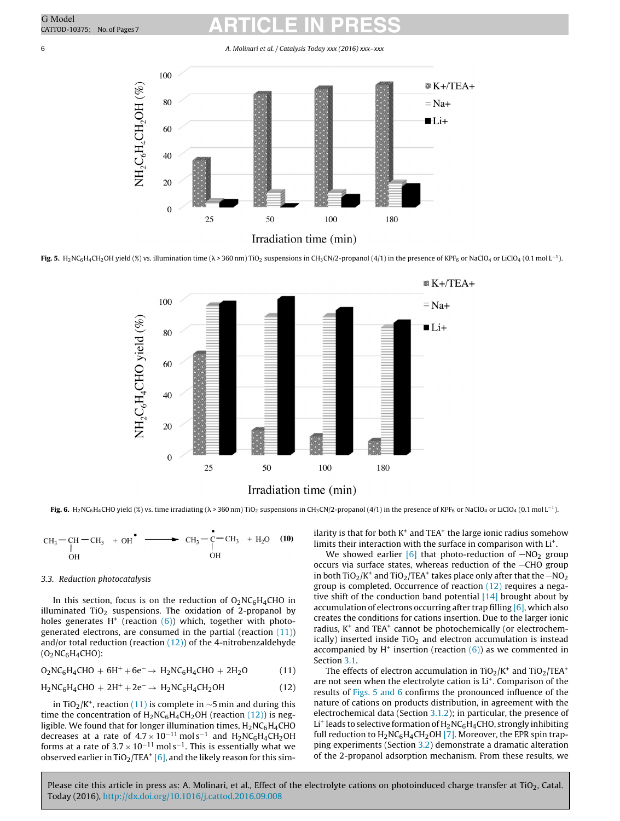## <span id="page-5-0"></span>CATTOD-10375; No. of Pages7<br>
CATTOD-10375; No. of Pages7

#### 6 A. Molinari et al. / Catalysis Today xxx (2016) xxx–xxx



Irradiation time (min)

**Fig.** 5. H<sub>2</sub>NC<sub>6</sub>H<sub>4</sub>CH<sub>2</sub>OH yield (%) vs. illumination time ( $\lambda$  > 360 nm) TiO<sub>2</sub> suspensions in CH<sub>3</sub>CN/2-propanol (4/1) in the presence of KPF<sub>6</sub> or NaClO<sub>4</sub> or LiClO<sub>4</sub> (0.1 mol L<sup>-1</sup>).



**Fig. 6.** H<sub>2</sub>NC<sub>6</sub>H<sub>4</sub>CHO yield (%) vs. time irradiating ( $\lambda$  > 360 nm) TiO<sub>2</sub> suspensions in CH<sub>3</sub>CN/2-propanol (4/1) in the presence of KPF<sub>6</sub> or NaClO<sub>4</sub> or LiClO<sub>4</sub> (0.1 mol L<sup>-1</sup>).

$$
CH_3-CH_3-CH_3 + OH^{\bullet} \longrightarrow CH_3-\overset{\bullet}{C}-CH_3 + H_2O \quad (10)
$$
OH

### 3.3. Reduction photocatalysis

In this section, focus is on the reduction of  $O_2NC_6H_4CHO$  in illuminated TiO<sub>2</sub> suspensions. The oxidation of 2-propanol by holes generates H<sup>+</sup> (reaction  $(6)$ ) which, together with photogenerated electrons, are consumed in the partial (reaction (11)) and/or total reduction (reaction  $(12)$ ) of the 4-nitrobenzaldehyde  $(O_2NC_6H_4CHO)$ :

$$
O_2NC_6H_4CHO + 6H^+ + 6e^- \rightarrow H_2NC_6H_4CHO + 2H_2O \qquad (11)
$$

$$
H_2NC_6H_4CHO + 2H^+ + 2e^- \rightarrow H_2NC_6H_4CH_2OH
$$
 (12)

in TiO<sub>2</sub>/K<sup>+</sup>, reaction (11) is complete in ∼5 min and during this time the concentration of  $H_2NC_6H_4CH_2OH$  (reaction (12)) is negligible. We found that for longer illumination times,  $H_2NC_6H_4CHO$ decreases at a rate of  $4.7 \times 10^{-11}$  mol s<sup>-1</sup> and H<sub>2</sub>NC<sub>6</sub>H<sub>4</sub>CH<sub>2</sub>OH forms at a rate of  $3.7 \times 10^{-11}$  mol s<sup>-1</sup>. This is essentially what we observed earlier in TiO<sub>2</sub>/TEA<sup>+</sup> [\[6\],](#page-6-0) and the likely reason for this similarity is that for both  $K^+$  and TEA $^+$  the large ionic radius somehow limits their interaction with the surface in comparison with Li<sup>+</sup>.

We showed earlier  $[6]$  that photo-reduction of  $-NO<sub>2</sub>$  group occurs via surface states, whereas reduction of the  $-$ CHO group in both TiO<sub>2</sub>/K<sup>+</sup> and TiO<sub>2</sub>/TEA<sup>+</sup> takes place only after that the  $-NO<sub>2</sub>$ group is completed. Occurrence of reaction (12) requires a negative shift of the conduction band potential  $[14]$  brought about by accumulation of electrons occurring after trap filling [\[6\],](#page-6-0) which also creates the conditions for cations insertion. Due to the larger ionic radius,  $K^+$  and TEA $^+$  cannot be photochemically (or electrochemically) inserted inside  $TiO<sub>2</sub>$  and electron accumulation is instead accompanied by  $H^+$  insertion (reaction  $(6)$ ) as we commented in Section [3.1.](#page-2-0)

The effects of electron accumulation in  $TiO<sub>2</sub>/K<sup>+</sup>$  and  $TiO<sub>2</sub>/TEA<sup>+</sup>$ are not seen when the electrolyte cation is Li<sup>+</sup>. Comparison of the results of Figs. 5 and 6 confirms the pronounced influence of the nature of cations on products distribution, in agreement with the electrochemical data (Section [3.1.2\);](#page-3-0) in particular, the presence of Li<sup>+</sup> leads to selective formation of  $H_2NC_6H_4CHO$ , strongly inhibiting full reduction to  $H_2NC_6H_4CH_2OH$  [\[7\].](#page-6-0) Moreover, the EPR spin trapping experiments (Section [3.2\)](#page-4-0) demonstrate a dramatic alteration of the 2-propanol adsorption mechanism. From these results, we